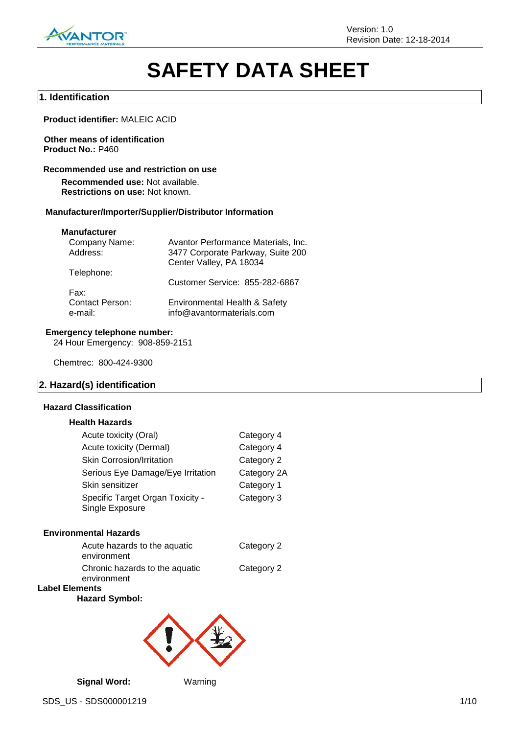

# **SAFETY DATA SHEET**

#### **1. Identification**

**Product identifier:** MALEIC ACID

#### **Other means of identification Product No.:** P460

#### **Recommended use and restriction on use**

**Recommended use:** Not available. **Restrictions on use:** Not known.

#### **Manufacturer/Importer/Supplier/Distributor Information**

#### **Manufacturer**

| Company Name:                     | Avantor Performance Materials, Inc.                        |
|-----------------------------------|------------------------------------------------------------|
| Address:                          | 3477 Corporate Parkway, Suite 200                          |
|                                   | Center Valley, PA 18034                                    |
| Telephone:                        |                                                            |
|                                   | Customer Service: 855-282-6867                             |
| Fax:                              |                                                            |
| <b>Contact Person:</b><br>e-mail: | Environmental Health & Safety<br>info@avantormaterials.com |

#### **Emergency telephone number:**

24 Hour Emergency: 908-859-2151

Chemtrec: 800-424-9300

#### **2. Hazard(s) identification**

#### **Hazard Classification**

#### **Health Hazards**

| Acute toxicity (Oral)                               | Category 4  |
|-----------------------------------------------------|-------------|
| Acute toxicity (Dermal)                             | Category 4  |
| <b>Skin Corrosion/Irritation</b>                    | Category 2  |
| Serious Eye Damage/Eye Irritation                   | Category 2A |
| Skin sensitizer                                     | Category 1  |
| Specific Target Organ Toxicity -<br>Single Exposure | Category 3  |
|                                                     |             |

#### **Environmental Hazards**

| environment | Acute hazards to the aquatic   | Category 2 |
|-------------|--------------------------------|------------|
| environment | Chronic hazards to the aquatic | Category 2 |
| mmant       |                                |            |

# **Label Elements**

**Hazard Symbol:**



**Signal Word:** Warning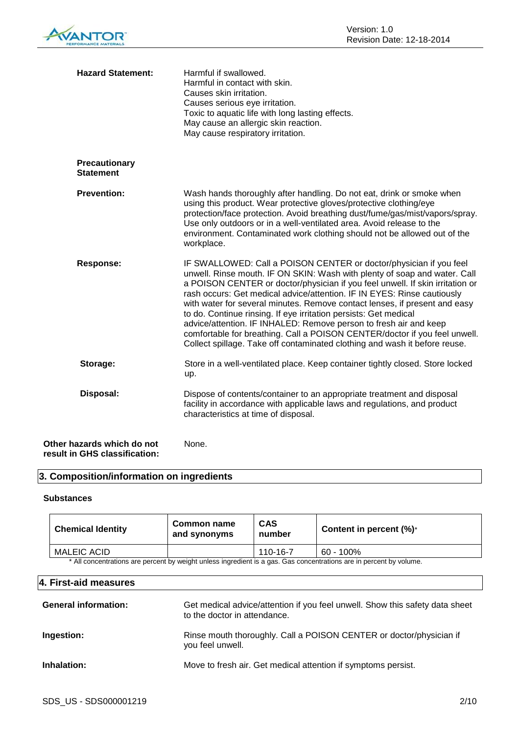| <b>Hazard Statement:</b>                                    | Harmful if swallowed.<br>Harmful in contact with skin.<br>Causes skin irritation.<br>Causes serious eye irritation.<br>Toxic to aquatic life with long lasting effects.<br>May cause an allergic skin reaction.<br>May cause respiratory irritation.                                                                                                                                                                                                                                                                                                                                                                                                                                           |
|-------------------------------------------------------------|------------------------------------------------------------------------------------------------------------------------------------------------------------------------------------------------------------------------------------------------------------------------------------------------------------------------------------------------------------------------------------------------------------------------------------------------------------------------------------------------------------------------------------------------------------------------------------------------------------------------------------------------------------------------------------------------|
| Precautionary<br><b>Statement</b>                           |                                                                                                                                                                                                                                                                                                                                                                                                                                                                                                                                                                                                                                                                                                |
| <b>Prevention:</b>                                          | Wash hands thoroughly after handling. Do not eat, drink or smoke when<br>using this product. Wear protective gloves/protective clothing/eye<br>protection/face protection. Avoid breathing dust/fume/gas/mist/vapors/spray.<br>Use only outdoors or in a well-ventilated area. Avoid release to the<br>environment. Contaminated work clothing should not be allowed out of the<br>workplace.                                                                                                                                                                                                                                                                                                  |
| <b>Response:</b>                                            | IF SWALLOWED: Call a POISON CENTER or doctor/physician if you feel<br>unwell. Rinse mouth. IF ON SKIN: Wash with plenty of soap and water. Call<br>a POISON CENTER or doctor/physician if you feel unwell. If skin irritation or<br>rash occurs: Get medical advice/attention. IF IN EYES: Rinse cautiously<br>with water for several minutes. Remove contact lenses, if present and easy<br>to do. Continue rinsing. If eye irritation persists: Get medical<br>advice/attention. IF INHALED: Remove person to fresh air and keep<br>comfortable for breathing. Call a POISON CENTER/doctor if you feel unwell.<br>Collect spillage. Take off contaminated clothing and wash it before reuse. |
| Storage:                                                    | Store in a well-ventilated place. Keep container tightly closed. Store locked<br>up.                                                                                                                                                                                                                                                                                                                                                                                                                                                                                                                                                                                                           |
| Disposal:                                                   | Dispose of contents/container to an appropriate treatment and disposal<br>facility in accordance with applicable laws and regulations, and product<br>characteristics at time of disposal.                                                                                                                                                                                                                                                                                                                                                                                                                                                                                                     |
| Other hazards which do not<br>result in GHS classification: | None.                                                                                                                                                                                                                                                                                                                                                                                                                                                                                                                                                                                                                                                                                          |

# **3. Composition/information on ingredients**

#### **Substances**

| <b>Chemical Identity</b>                                                                                            | Common name<br>and synonyms | <b>CAS</b><br>number | Content in percent $(\%)^*$ |
|---------------------------------------------------------------------------------------------------------------------|-----------------------------|----------------------|-----------------------------|
| MALEIC ACID                                                                                                         |                             | 110-16-7             | 60 - 100%                   |
| * All concentrations are percent by weight unless ingredient is a gas. Gas concentrations are in percent by volume. |                             |                      |                             |

**4. First-aid measures**

| <b>General information:</b> | Get medical advice/attention if you feel unwell. Show this safety data sheet<br>to the doctor in attendance. |
|-----------------------------|--------------------------------------------------------------------------------------------------------------|
| Ingestion:                  | Rinse mouth thoroughly. Call a POISON CENTER or doctor/physician if<br>you feel unwell.                      |
| Inhalation:                 | Move to fresh air. Get medical attention if symptoms persist.                                                |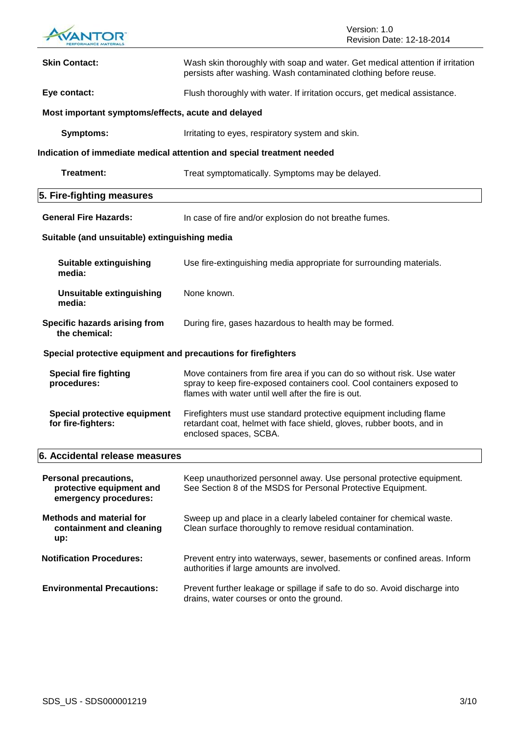

| <b>Skin Contact:</b>                                                              | Wash skin thoroughly with soap and water. Get medical attention if irritation<br>persists after washing. Wash contaminated clothing before reuse.                                                        |  |
|-----------------------------------------------------------------------------------|----------------------------------------------------------------------------------------------------------------------------------------------------------------------------------------------------------|--|
| Eye contact:                                                                      | Flush thoroughly with water. If irritation occurs, get medical assistance.                                                                                                                               |  |
| Most important symptoms/effects, acute and delayed                                |                                                                                                                                                                                                          |  |
| <b>Symptoms:</b>                                                                  | Irritating to eyes, respiratory system and skin.                                                                                                                                                         |  |
|                                                                                   | Indication of immediate medical attention and special treatment needed                                                                                                                                   |  |
| Treatment:                                                                        | Treat symptomatically. Symptoms may be delayed.                                                                                                                                                          |  |
| 5. Fire-fighting measures                                                         |                                                                                                                                                                                                          |  |
| <b>General Fire Hazards:</b>                                                      | In case of fire and/or explosion do not breathe fumes.                                                                                                                                                   |  |
| Suitable (and unsuitable) extinguishing media                                     |                                                                                                                                                                                                          |  |
| Suitable extinguishing<br>media:                                                  | Use fire-extinguishing media appropriate for surrounding materials.                                                                                                                                      |  |
| <b>Unsuitable extinguishing</b><br>media:                                         | None known.                                                                                                                                                                                              |  |
| Specific hazards arising from<br>the chemical:                                    | During fire, gases hazardous to health may be formed.                                                                                                                                                    |  |
| Special protective equipment and precautions for firefighters                     |                                                                                                                                                                                                          |  |
| <b>Special fire fighting</b><br>procedures:                                       | Move containers from fire area if you can do so without risk. Use water<br>spray to keep fire-exposed containers cool. Cool containers exposed to<br>flames with water until well after the fire is out. |  |
| <b>Special protective equipment</b><br>for fire-fighters:                         | Firefighters must use standard protective equipment including flame<br>retardant coat, helmet with face shield, gloves, rubber boots, and in<br>enclosed spaces, SCBA.                                   |  |
| 6. Accidental release measures                                                    |                                                                                                                                                                                                          |  |
| <b>Personal precautions,</b><br>protective equipment and<br>emergency procedures: | Keep unauthorized personnel away. Use personal protective equipment.<br>See Section 8 of the MSDS for Personal Protective Equipment.                                                                     |  |
| <b>Methods and material for</b><br>containment and cleaning<br>up:                | Sweep up and place in a clearly labeled container for chemical waste.<br>Clean surface thoroughly to remove residual contamination.                                                                      |  |
| <b>Notification Procedures:</b>                                                   | Prevent entry into waterways, sewer, basements or confined areas. Inform<br>authorities if large amounts are involved.                                                                                   |  |
| <b>Environmental Precautions:</b>                                                 | Prevent further leakage or spillage if safe to do so. Avoid discharge into<br>drains, water courses or onto the ground.                                                                                  |  |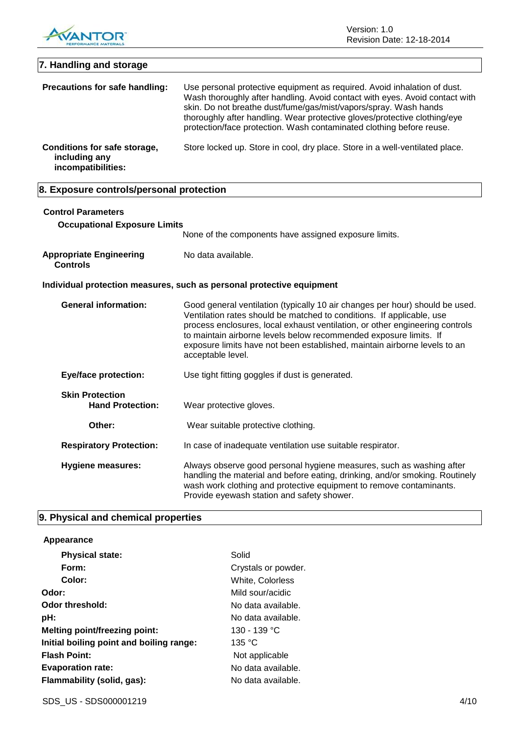

Version: 1.0 Revision Date: 12-18-2014

| 7. Handling and storage                                             |                                                                                                                                                                                                                                                                                                                                                                                                              |
|---------------------------------------------------------------------|--------------------------------------------------------------------------------------------------------------------------------------------------------------------------------------------------------------------------------------------------------------------------------------------------------------------------------------------------------------------------------------------------------------|
| Precautions for safe handling:                                      | Use personal protective equipment as required. Avoid inhalation of dust.<br>Wash thoroughly after handling. Avoid contact with eyes. Avoid contact with<br>skin. Do not breathe dust/fume/gas/mist/vapors/spray. Wash hands<br>thoroughly after handling. Wear protective gloves/protective clothing/eye<br>protection/face protection. Wash contaminated clothing before reuse.                             |
| Conditions for safe storage,<br>including any<br>incompatibilities: | Store locked up. Store in cool, dry place. Store in a well-ventilated place.                                                                                                                                                                                                                                                                                                                                 |
| 8. Exposure controls/personal protection                            |                                                                                                                                                                                                                                                                                                                                                                                                              |
| <b>Control Parameters</b><br><b>Occupational Exposure Limits</b>    | None of the components have assigned exposure limits.                                                                                                                                                                                                                                                                                                                                                        |
| <b>Appropriate Engineering</b><br><b>Controls</b>                   | No data available.                                                                                                                                                                                                                                                                                                                                                                                           |
|                                                                     | Individual protection measures, such as personal protective equipment                                                                                                                                                                                                                                                                                                                                        |
| <b>General information:</b>                                         | Good general ventilation (typically 10 air changes per hour) should be used.<br>Ventilation rates should be matched to conditions. If applicable, use<br>process enclosures, local exhaust ventilation, or other engineering controls<br>to maintain airborne levels below recommended exposure limits. If<br>exposure limits have not been established, maintain airborne levels to an<br>acceptable level. |
| <b>Eye/face protection:</b>                                         | Use tight fitting goggles if dust is generated.                                                                                                                                                                                                                                                                                                                                                              |
| <b>Skin Protection</b><br><b>Hand Protection:</b>                   | Wear protective gloves.                                                                                                                                                                                                                                                                                                                                                                                      |
| Other:                                                              | Wear suitable protective clothing.                                                                                                                                                                                                                                                                                                                                                                           |
| <b>Respiratory Protection:</b>                                      | In case of inadequate ventilation use suitable respirator.                                                                                                                                                                                                                                                                                                                                                   |
| <b>Hygiene measures:</b>                                            | Always observe good personal hygiene measures, such as washing after<br>handling the material and before eating, drinking, and/or smoking. Routinely<br>wash work clothing and protective equipment to remove contaminants.<br>Provide eyewash station and safety shower.                                                                                                                                    |

# **9. Physical and chemical properties**

## **Appearance**

| <b>Physical state:</b>                   | Solid               |
|------------------------------------------|---------------------|
| Form:                                    | Crystals or powder. |
| Color:                                   | White, Colorless    |
| Odor:                                    | Mild sour/acidic    |
| Odor threshold:                          | No data available.  |
| pH:                                      | No data available.  |
| <b>Melting point/freezing point:</b>     | 130 - 139 °C        |
| Initial boiling point and boiling range: | 135 °C              |
| <b>Flash Point:</b>                      | Not applicable      |
| <b>Evaporation rate:</b>                 | No data available.  |
| Flammability (solid, gas):               | No data available.  |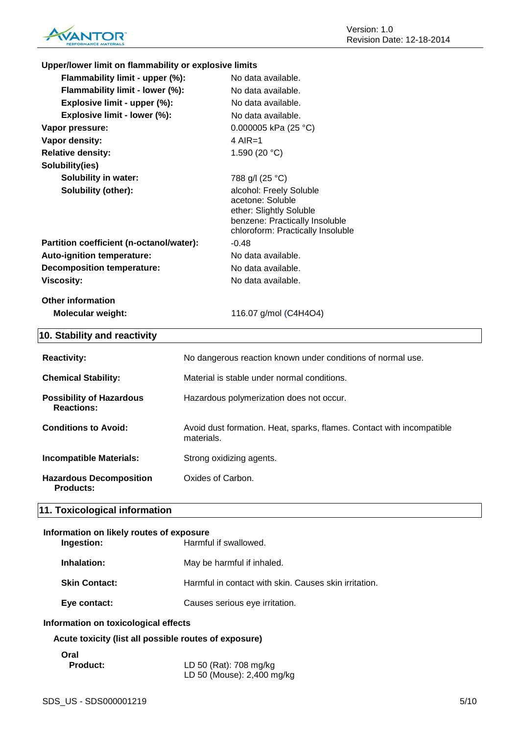

| Upper/lower limit on flammability or explosive limits |                                                                                                                                               |
|-------------------------------------------------------|-----------------------------------------------------------------------------------------------------------------------------------------------|
| Flammability limit - upper (%):                       | No data available.                                                                                                                            |
| Flammability limit - lower (%):                       | No data available.                                                                                                                            |
| Explosive limit - upper (%):                          | No data available.                                                                                                                            |
| Explosive limit - lower (%):                          | No data available.                                                                                                                            |
| Vapor pressure:                                       | 0.000005 kPa (25 °C)                                                                                                                          |
| Vapor density:                                        | $4$ AIR=1                                                                                                                                     |
| <b>Relative density:</b>                              | 1.590 $(20 °C)$                                                                                                                               |
| Solubility(ies)                                       |                                                                                                                                               |
| <b>Solubility in water:</b>                           | 788 g/l (25 °C)                                                                                                                               |
| Solubility (other):                                   | alcohol: Freely Soluble<br>acetone: Soluble<br>ether: Slightly Soluble<br>benzene: Practically Insoluble<br>chloroform: Practically Insoluble |
| Partition coefficient (n-octanol/water):              | $-0.48$                                                                                                                                       |
| Auto-ignition temperature:                            | No data available.                                                                                                                            |
| <b>Decomposition temperature:</b>                     | No data available.                                                                                                                            |
| <b>Viscosity:</b>                                     | No data available.                                                                                                                            |
| Other information                                     |                                                                                                                                               |
| <b>Molecular weight:</b>                              | 116.07 g/mol (C4H4O4)                                                                                                                         |
| 10. Stability and reactivity                          |                                                                                                                                               |

| <b>Reactivity:</b>                                   | No dangerous reaction known under conditions of normal use.                         |
|------------------------------------------------------|-------------------------------------------------------------------------------------|
|                                                      |                                                                                     |
| <b>Chemical Stability:</b>                           | Material is stable under normal conditions.                                         |
| <b>Possibility of Hazardous</b><br><b>Reactions:</b> | Hazardous polymerization does not occur.                                            |
| <b>Conditions to Avoid:</b>                          | Avoid dust formation. Heat, sparks, flames. Contact with incompatible<br>materials. |
| Incompatible Materials:                              | Strong oxidizing agents.                                                            |
| <b>Hazardous Decomposition</b><br><b>Products:</b>   | Oxides of Carbon.                                                                   |

# **11. Toxicological information**

#### **Information on likely routes of exposure Ingestion:** Harmful if swallowed.

| Inhalation:          | May be harmful if inhaled.                            |
|----------------------|-------------------------------------------------------|
| <b>Skin Contact:</b> | Harmful in contact with skin. Causes skin irritation. |
| Eye contact:         | Causes serious eye irritation.                        |

#### **Information on toxicological effects**

**Acute toxicity (list all possible routes of exposure)**

# **Oral**

**Product:** LD 50 (Rat): 708 mg/kg LD 50 (Mouse): 2,400 mg/kg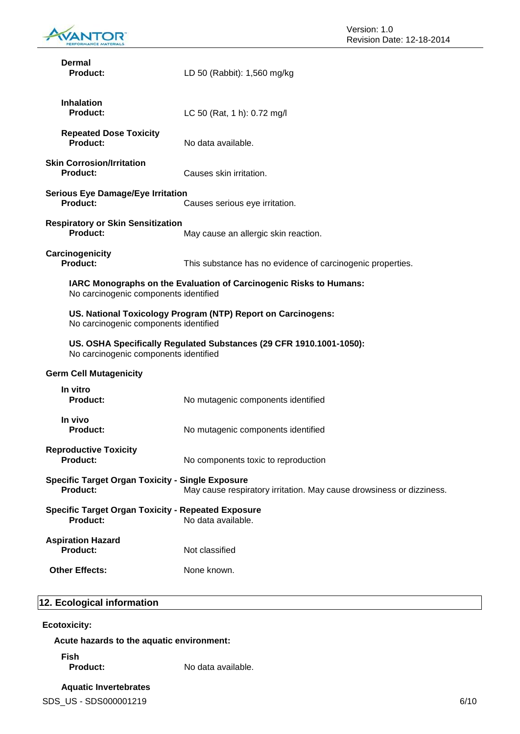

| Dermal<br><b>Product:</b>                                                                                                                          | LD 50 (Rabbit): 1,560 mg/kg                                |  |
|----------------------------------------------------------------------------------------------------------------------------------------------------|------------------------------------------------------------|--|
| <b>Inhalation</b><br>Product:                                                                                                                      | LC 50 (Rat, 1 h): 0.72 mg/l                                |  |
| <b>Repeated Dose Toxicity</b><br><b>Product:</b>                                                                                                   | No data available.                                         |  |
| <b>Skin Corrosion/Irritation</b><br><b>Product:</b>                                                                                                | Causes skin irritation.                                    |  |
| <b>Serious Eye Damage/Eye Irritation</b><br><b>Product:</b>                                                                                        | Causes serious eye irritation.                             |  |
| <b>Respiratory or Skin Sensitization</b><br><b>Product:</b>                                                                                        | May cause an allergic skin reaction.                       |  |
| Carcinogenicity<br><b>Product:</b>                                                                                                                 | This substance has no evidence of carcinogenic properties. |  |
| IARC Monographs on the Evaluation of Carcinogenic Risks to Humans:<br>No carcinogenic components identified                                        |                                                            |  |
| US. National Toxicology Program (NTP) Report on Carcinogens:<br>No carcinogenic components identified                                              |                                                            |  |
| US. OSHA Specifically Regulated Substances (29 CFR 1910.1001-1050):<br>No carcinogenic components identified                                       |                                                            |  |
| <b>Germ Cell Mutagenicity</b>                                                                                                                      |                                                            |  |
| In vitro<br><b>Product:</b>                                                                                                                        | No mutagenic components identified                         |  |
| In vivo<br><b>Product:</b>                                                                                                                         | No mutagenic components identified                         |  |
| <b>Reproductive Toxicity</b><br>Product:                                                                                                           | No components toxic to reproduction                        |  |
| <b>Specific Target Organ Toxicity - Single Exposure</b><br><b>Product:</b><br>May cause respiratory irritation. May cause drowsiness or dizziness. |                                                            |  |
| <b>Specific Target Organ Toxicity - Repeated Exposure</b><br><b>Product:</b>                                                                       | No data available.                                         |  |
| <b>Aspiration Hazard</b><br><b>Product:</b>                                                                                                        | Not classified                                             |  |
| <b>Other Effects:</b>                                                                                                                              | None known.                                                |  |

# **12. Ecological information**

## **Ecotoxicity:**

**Acute hazards to the aquatic environment:**

**Fish**

No data available.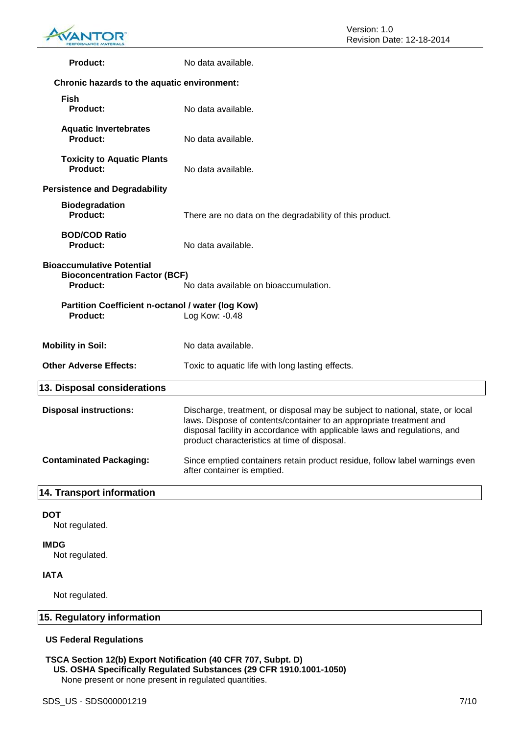

| <b>Product:</b>                                                                                                                      | No data available.                                                                                                                                                                                                                                                                |  |
|--------------------------------------------------------------------------------------------------------------------------------------|-----------------------------------------------------------------------------------------------------------------------------------------------------------------------------------------------------------------------------------------------------------------------------------|--|
| Chronic hazards to the aquatic environment:                                                                                          |                                                                                                                                                                                                                                                                                   |  |
| <b>Fish</b><br><b>Product:</b>                                                                                                       | No data available.                                                                                                                                                                                                                                                                |  |
| <b>Aquatic Invertebrates</b><br><b>Product:</b>                                                                                      | No data available.                                                                                                                                                                                                                                                                |  |
| <b>Toxicity to Aquatic Plants</b><br>Product:                                                                                        | No data available.                                                                                                                                                                                                                                                                |  |
| <b>Persistence and Degradability</b>                                                                                                 |                                                                                                                                                                                                                                                                                   |  |
| <b>Biodegradation</b><br><b>Product:</b>                                                                                             | There are no data on the degradability of this product.                                                                                                                                                                                                                           |  |
| <b>BOD/COD Ratio</b><br><b>Product:</b>                                                                                              | No data available.                                                                                                                                                                                                                                                                |  |
| <b>Bioaccumulative Potential</b><br><b>Bioconcentration Factor (BCF)</b><br><b>Product:</b><br>No data available on bioaccumulation. |                                                                                                                                                                                                                                                                                   |  |
| Partition Coefficient n-octanol / water (log Kow)<br><b>Product:</b>                                                                 | Log Kow: -0.48                                                                                                                                                                                                                                                                    |  |
| <b>Mobility in Soil:</b>                                                                                                             | No data available.                                                                                                                                                                                                                                                                |  |
| <b>Other Adverse Effects:</b>                                                                                                        | Toxic to aquatic life with long lasting effects.                                                                                                                                                                                                                                  |  |
| 13. Disposal considerations                                                                                                          |                                                                                                                                                                                                                                                                                   |  |
| <b>Disposal instructions:</b>                                                                                                        | Discharge, treatment, or disposal may be subject to national, state, or local<br>laws. Dispose of contents/container to an appropriate treatment and<br>disposal facility in accordance with applicable laws and regulations, and<br>product characteristics at time of disposal. |  |
| <b>Contaminated Packaging:</b>                                                                                                       | Since emptied containers retain product residue, follow label warnings even<br>after container is emptied.                                                                                                                                                                        |  |
| <b>14. Transport information</b>                                                                                                     |                                                                                                                                                                                                                                                                                   |  |

#### **DOT**

Not regulated.

#### **IMDG**

Not regulated.

#### **IATA**

Not regulated.

# **15. Regulatory information**

#### **US Federal Regulations**

#### **TSCA Section 12(b) Export Notification (40 CFR 707, Subpt. D) US. OSHA Specifically Regulated Substances (29 CFR 1910.1001-1050)**

None present or none present in regulated quantities.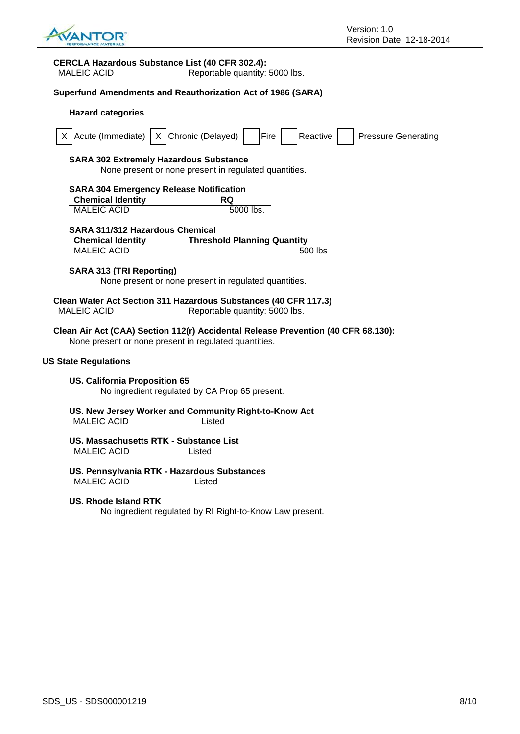

#### **CERCLA Hazardous Substance List (40 CFR 302.4):**

MALEIC ACID Reportable quantity: 5000 lbs.

#### **Superfund Amendments and Reauthorization Act of 1986 (SARA)**

| <b>Hazard categories</b>                                                                                                                   |  |  |
|--------------------------------------------------------------------------------------------------------------------------------------------|--|--|
| X Chronic (Delayed)<br>Acute (Immediate)<br>Fire<br>Reactive<br><b>Pressure Generating</b><br>X.                                           |  |  |
| <b>SARA 302 Extremely Hazardous Substance</b><br>None present or none present in regulated quantities.                                     |  |  |
| <b>SARA 304 Emergency Release Notification</b><br><b>Chemical Identity</b><br>RQ<br><b>MALEIC ACID</b><br>5000 lbs.                        |  |  |
| <b>SARA 311/312 Hazardous Chemical</b>                                                                                                     |  |  |
| <b>Threshold Planning Quantity</b><br><b>Chemical Identity</b>                                                                             |  |  |
| <b>MALEIC ACID</b><br>500 lbs                                                                                                              |  |  |
| <b>SARA 313 (TRI Reporting)</b><br>None present or none present in regulated quantities.                                                   |  |  |
| Clean Water Act Section 311 Hazardous Substances (40 CFR 117.3)<br><b>MALEIC ACID</b><br>Reportable quantity: 5000 lbs.                    |  |  |
| Clean Air Act (CAA) Section 112(r) Accidental Release Prevention (40 CFR 68.130):<br>None present or none present in regulated quantities. |  |  |
| <b>US State Regulations</b>                                                                                                                |  |  |
| <b>US. California Proposition 65</b><br>No ingredient regulated by CA Prop 65 present.                                                     |  |  |
| US. New Jersey Worker and Community Right-to-Know Act<br><b>MALEIC ACID</b><br>Listed                                                      |  |  |
| US. Massachusetts RTK - Substance List<br><b>MALEIC ACID</b><br>Listed                                                                     |  |  |
| US. Pennsylvania RTK - Hazardous Substances<br><b>MALEIC ACID</b><br>Listed                                                                |  |  |
| US. Rhode Island RTK<br>No ingredient regulated by RI Right-to-Know Law present.                                                           |  |  |
|                                                                                                                                            |  |  |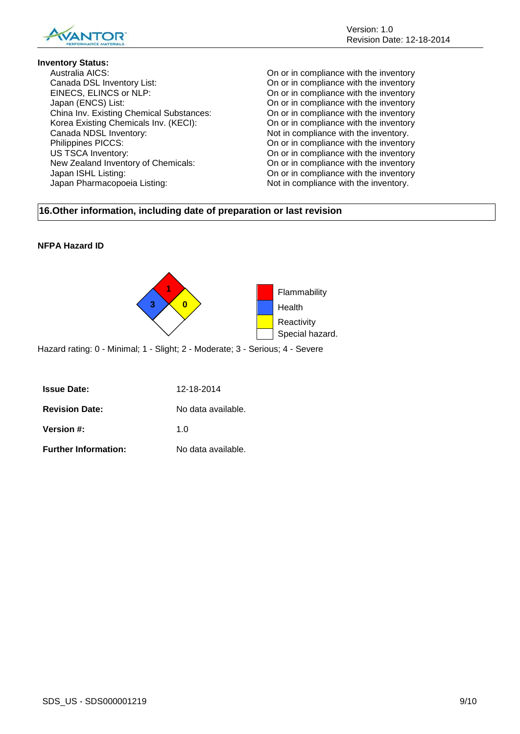

#### **Inventory Status:**

Australia AICS: On or in compliance with the inventory Canada DSL Inventory List: On or in compliance with the inventory EINECS, ELINCS or NLP: On or in compliance with the inventory Japan (ENCS) List:<br>
China Inv. Existing Chemical Substances: On or in compliance with the inventory<br>
On or in compliance with the inventory China Inv. Existing Chemical Substances: On or in compliance with the inventory<br>Korea Existing Chemicals Inv. (KECI): On or in compliance with the inventory Korea Existing Chemicals Inv. (KECI): Canada NDSL Inventory:<br>
Philippines PICCS:<br>
On or in compliance with the inventory.<br>
On or in compliance with the inventory. US TSCA Inventory: On or in compliance with the inventory New Zealand Inventory of Chemicals: On or in compliance with the inventory Japan ISHL Listing: On or in compliance with the inventory Japan Pharmacopoeia Listing: Not in compliance with the inventory.

On or in compliance with the inventory

## **16.Other information, including date of preparation or last revision**

### **NFPA Hazard ID**



Hazard rating: 0 - Minimal; 1 - Slight; 2 - Moderate; 3 - Serious; 4 - Severe

| <b>Issue Date:</b>          | 12-18-2014         |
|-----------------------------|--------------------|
| <b>Revision Date:</b>       | No data available. |
| <b>Version #:</b>           | 1 በ                |
| <b>Further Information:</b> | No data available. |